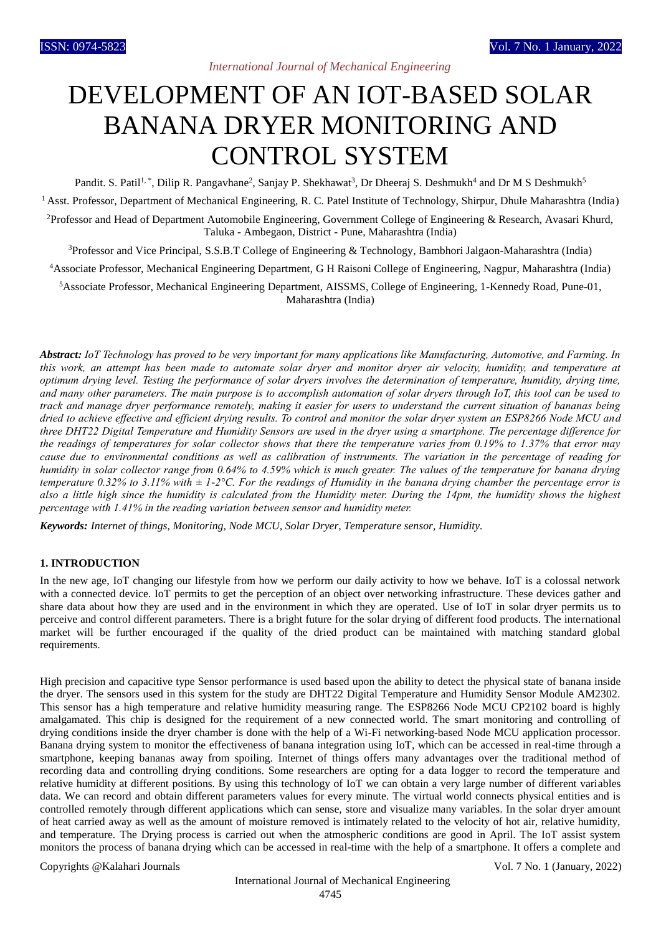# DEVELOPMENT OF AN IOT-BASED SOLAR BANANA DRYER MONITORING AND CONTROL SYSTEM

Pandit. S. Patil<sup>1, \*</sup>, Dilip R. Pangavhane<sup>2</sup>, Sanjay P. Shekhawat<sup>3</sup>, Dr Dheeraj S. Deshmukh<sup>4</sup> and Dr M S Deshmukh<sup>5</sup> <sup>1</sup> Asst. Professor, Department of Mechanical Engineering, R. C. Patel Institute of Technology, Shirpur, Dhule Maharashtra (India) <sup>2</sup>Professor and Head of Department Automobile Engineering, Government College of Engineering & Research, Avasari Khurd, Taluka - Ambegaon, District - Pune, Maharashtra (India)

<sup>3</sup>Professor and Vice Principal, S.S.B.T College of Engineering & Technology, Bambhori Jalgaon-Maharashtra (India)

<sup>4</sup>Associate Professor, Mechanical Engineering Department, G H Raisoni College of Engineering, Nagpur, Maharashtra (India)

<sup>5</sup>Associate Professor, Mechanical Engineering Department, AISSMS, College of Engineering, 1-Kennedy Road, Pune-01, Maharashtra (India)

*Abstract: IoT Technology has proved to be very important for many applications like Manufacturing, Automotive, and Farming. In this work, an attempt has been made to automate solar dryer and monitor dryer air velocity, humidity, and temperature at optimum drying level. Testing the performance of solar dryers involves the determination of temperature, humidity, drying time, and many other parameters. The main purpose is to accomplish automation of solar dryers through IoT, this tool can be used to track and manage dryer performance remotely, making it easier for users to understand the current situation of bananas being dried to achieve effective and efficient drying results. To control and monitor the solar dryer system an ESP8266 Node MCU and three DHT22 Digital Temperature and Humidity Sensors are used in the dryer using a smartphone. The percentage difference for the readings of temperatures for solar collector shows that there the temperature varies from 0.19% to 1.37% that error may cause due to environmental conditions as well as calibration of instruments. The variation in the percentage of reading for humidity in solar collector range from 0.64% to 4.59% which is much greater. The values of the temperature for banana drying temperature 0.32% to 3.11% with ± 1-2°C. For the readings of Humidity in the banana drying chamber the percentage error is also a little high since the humidity is calculated from the Humidity meter. During the 14pm, the humidity shows the highest percentage with 1.41% in the reading variation between sensor and humidity meter.*

*Keywords: Internet of things, Monitoring, Node MCU, Solar Dryer, Temperature sensor, Humidity.*

## **1. INTRODUCTION**

In the new age, IoT changing our lifestyle from how we perform our daily activity to how we behave. IoT is a colossal network with a connected device. IoT permits to get the perception of an object over networking infrastructure. These devices gather and share data about how they are used and in the environment in which they are operated. Use of IoT in solar dryer permits us to perceive and control different parameters. There is a bright future for the solar drying of different food products. The international market will be further encouraged if the quality of the dried product can be maintained with matching standard global requirements.

High precision and capacitive type Sensor performance is used based upon the ability to detect the physical state of banana inside the dryer. The sensors used in this system for the study are DHT22 Digital Temperature and Humidity Sensor Module AM2302. This sensor has a high temperature and relative humidity measuring range. The ESP8266 Node MCU CP2102 board is highly amalgamated. This chip is designed for the requirement of a new connected world. The smart monitoring and controlling of drying conditions inside the dryer chamber is done with the help of a Wi-Fi networking-based Node MCU application processor. Banana drying system to monitor the effectiveness of banana integration using IoT, which can be accessed in real-time through a smartphone, keeping bananas away from spoiling. Internet of things offers many advantages over the traditional method of recording data and controlling drying conditions. Some researchers are opting for a data logger to record the temperature and relative humidity at different positions. By using this technology of IoT we can obtain a very large number of different variables data. We can record and obtain different parameters values for every minute. The virtual world connects physical entities and is controlled remotely through different applications which can sense, store and visualize many variables. In the solar dryer amount of heat carried away as well as the amount of moisture removed is intimately related to the velocity of hot air, relative humidity, and temperature. The Drying process is carried out when the atmospheric conditions are good in April. The IoT assist system monitors the process of banana drying which can be accessed in real-time with the help of a smartphone. It offers a complete and

Copyrights @Kalahari Journals Vol. 7 No. 1 (January, 2022)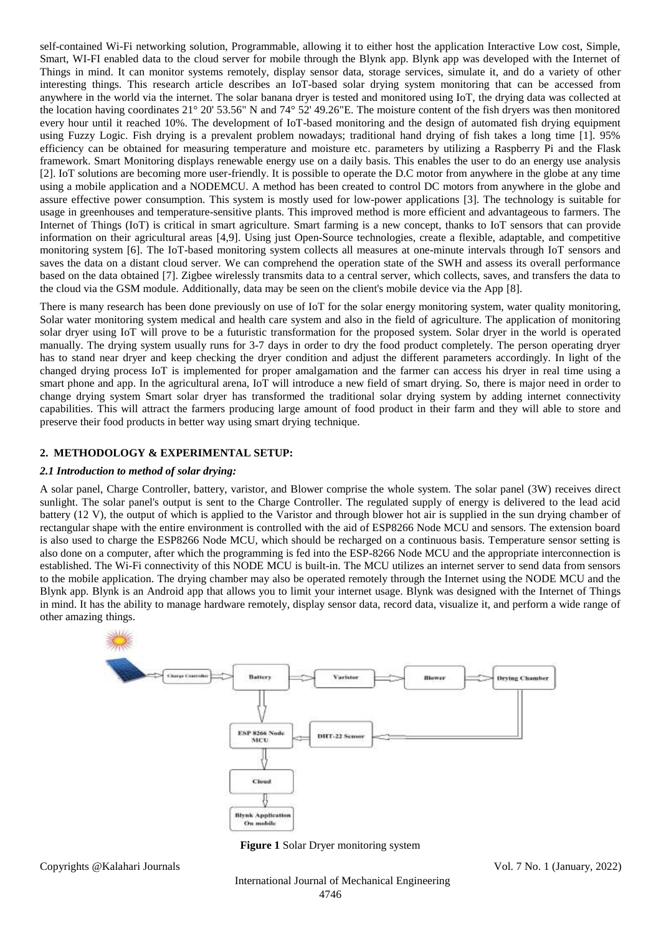self-contained Wi-Fi networking solution, Programmable, allowing it to either host the application Interactive Low cost, Simple, Smart, WI-FI enabled data to the cloud server for mobile through the Blynk app. Blynk app was developed with the Internet of Things in mind. It can monitor systems remotely, display sensor data, storage services, simulate it, and do a variety of other interesting things. This research article describes an IoT-based solar drying system monitoring that can be accessed from anywhere in the world via the internet. The solar banana dryer is tested and monitored using IoT, the drying data was collected at the location having coordinates 21° 20' 53.56" N and 74° 52' 49.26"E. The moisture content of the fish dryers was then monitored every hour until it reached 10%. The development of IoT-based monitoring and the design of automated fish drying equipment using Fuzzy Logic. Fish drying is a prevalent problem nowadays; traditional hand drying of fish takes a long time [1]. 95% efficiency can be obtained for measuring temperature and moisture etc. parameters by utilizing a Raspberry Pi and the Flask framework. Smart Monitoring displays renewable energy use on a daily basis. This enables the user to do an energy use analysis [2]. IoT solutions are becoming more user-friendly. It is possible to operate the D.C motor from anywhere in the globe at any time using a mobile application and a NODEMCU. A method has been created to control DC motors from anywhere in the globe and assure effective power consumption. This system is mostly used for low-power applications [3]. The technology is suitable for usage in greenhouses and temperature-sensitive plants. This improved method is more efficient and advantageous to farmers. The Internet of Things (IoT) is critical in smart agriculture. Smart farming is a new concept, thanks to IoT sensors that can provide information on their agricultural areas [4,9]. Using just Open-Source technologies, create a flexible, adaptable, and competitive monitoring system [6]. The IoT-based monitoring system collects all measures at one-minute intervals through IoT sensors and saves the data on a distant cloud server. We can comprehend the operation state of the SWH and assess its overall performance based on the data obtained [7]. Zigbee wirelessly transmits data to a central server, which collects, saves, and transfers the data to the cloud via the GSM module. Additionally, data may be seen on the client's mobile device via the App [8].

There is many research has been done previously on use of IoT for the solar energy monitoring system, water quality monitoring, Solar water monitoring system medical and health care system and also in the field of agriculture. The application of monitoring solar dryer using IoT will prove to be a futuristic transformation for the proposed system. Solar dryer in the world is operated manually. The drying system usually runs for 3-7 days in order to dry the food product completely. The person operating dryer has to stand near dryer and keep checking the dryer condition and adjust the different parameters accordingly. In light of the changed drying process IoT is implemented for proper amalgamation and the farmer can access his dryer in real time using a smart phone and app. In the agricultural arena, IoT will introduce a new field of smart drying. So, there is major need in order to change drying system Smart solar dryer has transformed the traditional solar drying system by adding internet connectivity capabilities. This will attract the farmers producing large amount of food product in their farm and they will able to store and preserve their food products in better way using smart drying technique.

# **2. METHODOLOGY & EXPERIMENTAL SETUP:**

#### *2.1 Introduction to method of solar drying:*

A solar panel, Charge Controller, battery, varistor, and Blower comprise the whole system. The solar panel (3W) receives direct sunlight. The solar panel's output is sent to the Charge Controller. The regulated supply of energy is delivered to the lead acid battery (12 V), the output of which is applied to the Varistor and through blower hot air is supplied in the sun drying chamber of rectangular shape with the entire environment is controlled with the aid of ESP8266 Node MCU and sensors. The extension board is also used to charge the ESP8266 Node MCU, which should be recharged on a continuous basis. Temperature sensor setting is also done on a computer, after which the programming is fed into the ESP-8266 Node MCU and the appropriate interconnection is established. The Wi-Fi connectivity of this NODE MCU is built-in. The MCU utilizes an internet server to send data from sensors to the mobile application. The drying chamber may also be operated remotely through the Internet using the NODE MCU and the Blynk app. Blynk is an Android app that allows you to limit your internet usage. Blynk was designed with the Internet of Things in mind. It has the ability to manage hardware remotely, display sensor data, record data, visualize it, and perform a wide range of other amazing things.



**Figure 1** Solar Dryer monitoring system

Copyrights @Kalahari Journals Vol. 7 No. 1 (January, 2022)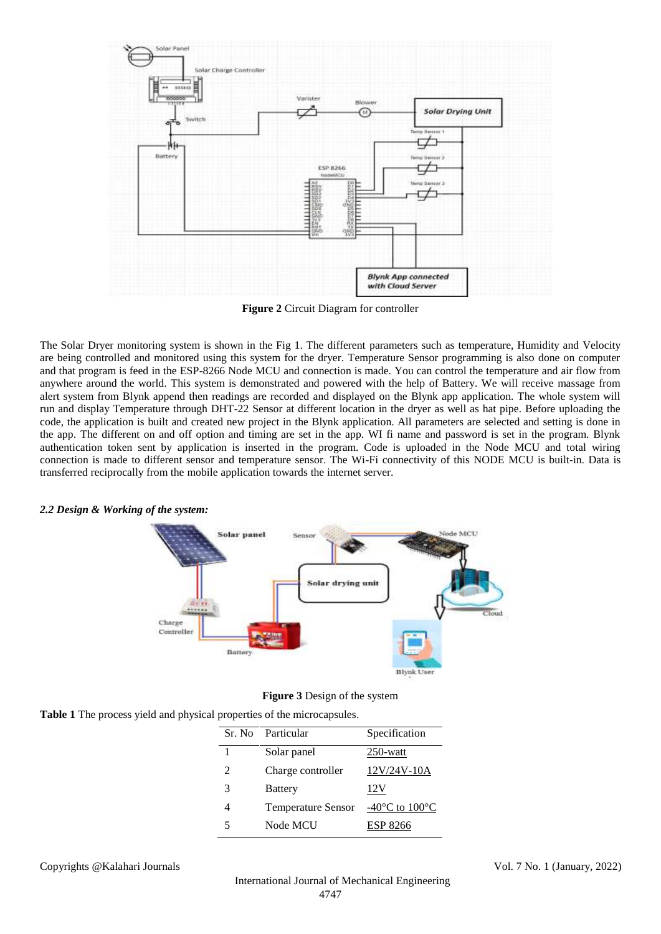

**Figure 2** Circuit Diagram for controller

The Solar Dryer monitoring system is shown in the Fig 1. The different parameters such as temperature, Humidity and Velocity are being controlled and monitored using this system for the dryer. Temperature Sensor programming is also done on computer and that program is feed in the ESP-8266 Node MCU and connection is made. You can control the temperature and air flow from anywhere around the world. This system is demonstrated and powered with the help of Battery. We will receive massage from alert system from Blynk append then readings are recorded and displayed on the Blynk app application. The whole system will run and display Temperature through DHT-22 Sensor at different location in the dryer as well as hat pipe. Before uploading the code, the application is built and created new project in the Blynk application. All parameters are selected and setting is done in the app. The different on and off option and timing are set in the app. WI fi name and password is set in the program. Blynk authentication token sent by application is inserted in the program. Code is uploaded in the Node MCU and total wiring connection is made to different sensor and temperature sensor. The Wi-Fi connectivity of this NODE MCU is built-in. Data is transferred reciprocally from the mobile application towards the internet server.

#### *2.2 Design & Working of the system:*



**Figure 3** Design of the system

| Table 1 The process yield and physical properties of the microcapsules. |
|-------------------------------------------------------------------------|
|-------------------------------------------------------------------------|

|                | Sr. No Particular         | Specification                                        |
|----------------|---------------------------|------------------------------------------------------|
| 1              | Solar panel               | $250$ -watt                                          |
| $\mathfrak{D}$ | Charge controller         | $12V/24V-10A$                                        |
| 3              | <b>Battery</b>            | 12V                                                  |
|                | <b>Temperature Sensor</b> | -40 $\mathrm{^{\circ}C}$ to 100 $\mathrm{^{\circ}C}$ |
|                | Node MCU                  | ESP 8266                                             |

Copyrights @Kalahari Journals Vol. 7 No. 1 (January, 2022)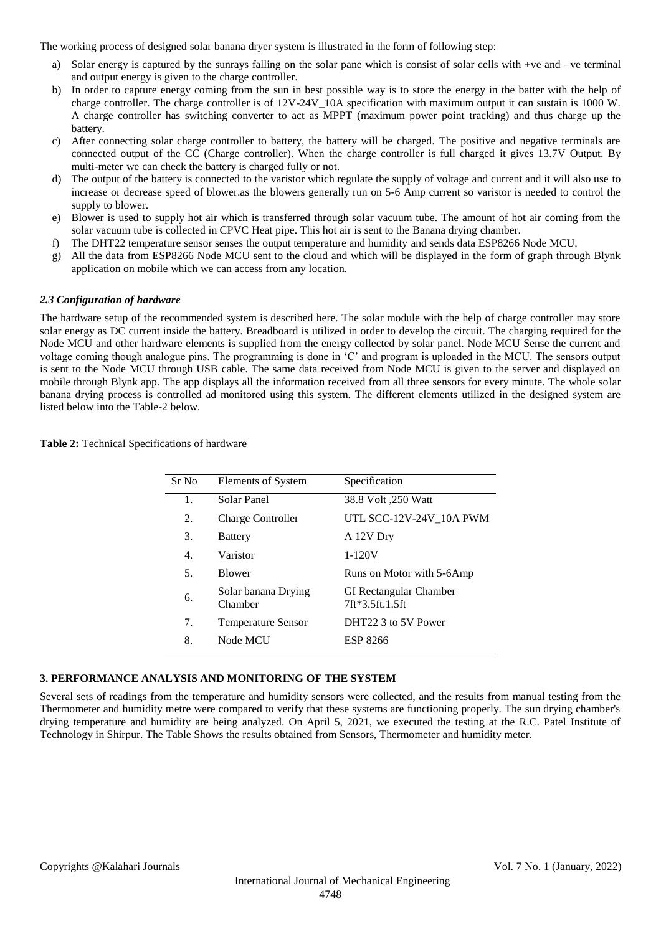The working process of designed solar banana dryer system is illustrated in the form of following step:

- a) Solar energy is captured by the sunrays falling on the solar pane which is consist of solar cells with +ve and –ve terminal and output energy is given to the charge controller.
- b) In order to capture energy coming from the sun in best possible way is to store the energy in the batter with the help of charge controller. The charge controller is of 12V-24V\_10A specification with maximum output it can sustain is 1000 W. A charge controller has switching converter to act as MPPT (maximum power point tracking) and thus charge up the battery.
- c) After connecting solar charge controller to battery, the battery will be charged. The positive and negative terminals are connected output of the CC (Charge controller). When the charge controller is full charged it gives 13.7V Output. By multi-meter we can check the battery is charged fully or not.
- d) The output of the battery is connected to the varistor which regulate the supply of voltage and current and it will also use to increase or decrease speed of blower.as the blowers generally run on 5-6 Amp current so varistor is needed to control the supply to blower.
- e) Blower is used to supply hot air which is transferred through solar vacuum tube. The amount of hot air coming from the solar vacuum tube is collected in CPVC Heat pipe. This hot air is sent to the Banana drying chamber.
- f) The DHT22 temperature sensor senses the output temperature and humidity and sends data ESP8266 Node MCU.
- g) All the data from ESP8266 Node MCU sent to the cloud and which will be displayed in the form of graph through Blynk application on mobile which we can access from any location.

# *2.3 Configuration of hardware*

The hardware setup of the recommended system is described here. The solar module with the help of charge controller may store solar energy as DC current inside the battery. Breadboard is utilized in order to develop the circuit. The charging required for the Node MCU and other hardware elements is supplied from the energy collected by solar panel. Node MCU Sense the current and voltage coming though analogue pins. The programming is done in 'C' and program is uploaded in the MCU. The sensors output is sent to the Node MCU through USB cable. The same data received from Node MCU is given to the server and displayed on mobile through Blynk app. The app displays all the information received from all three sensors for every minute. The whole solar banana drying process is controlled ad monitored using this system. The different elements utilized in the designed system are listed below into the Table-2 below.

| Sr No | Elements of System             | Specification                                    |
|-------|--------------------------------|--------------------------------------------------|
| 1.    | Solar Panel                    | 38.8 Volt ,250 Watt                              |
| 2.    | <b>Charge Controller</b>       | UTL SCC-12V-24V_10A PWM                          |
| 3.    | <b>Battery</b>                 | A 12V Dry                                        |
| 4.    | Varistor                       | $1 - 120V$                                       |
| 5.    | <b>Blower</b>                  | Runs on Motor with 5-6Amp                        |
| 6.    | Solar banana Drying<br>Chamber | <b>GI</b> Rectangular Chamber<br>7ft*3.5ft.1.5ft |
| 7.    | <b>Temperature Sensor</b>      | DHT22 3 to 5V Power                              |
| 8.    | Node MCU                       | ESP 8266                                         |

**Table 2:** Technical Specifications of hardware

## **3. PERFORMANCE ANALYSIS AND MONITORING OF THE SYSTEM**

Several sets of readings from the temperature and humidity sensors were collected, and the results from manual testing from the Thermometer and humidity metre were compared to verify that these systems are functioning properly. The sun drying chamber's drying temperature and humidity are being analyzed. On April 5, 2021, we executed the testing at the R.C. Patel Institute of Technology in Shirpur. The Table Shows the results obtained from Sensors, Thermometer and humidity meter.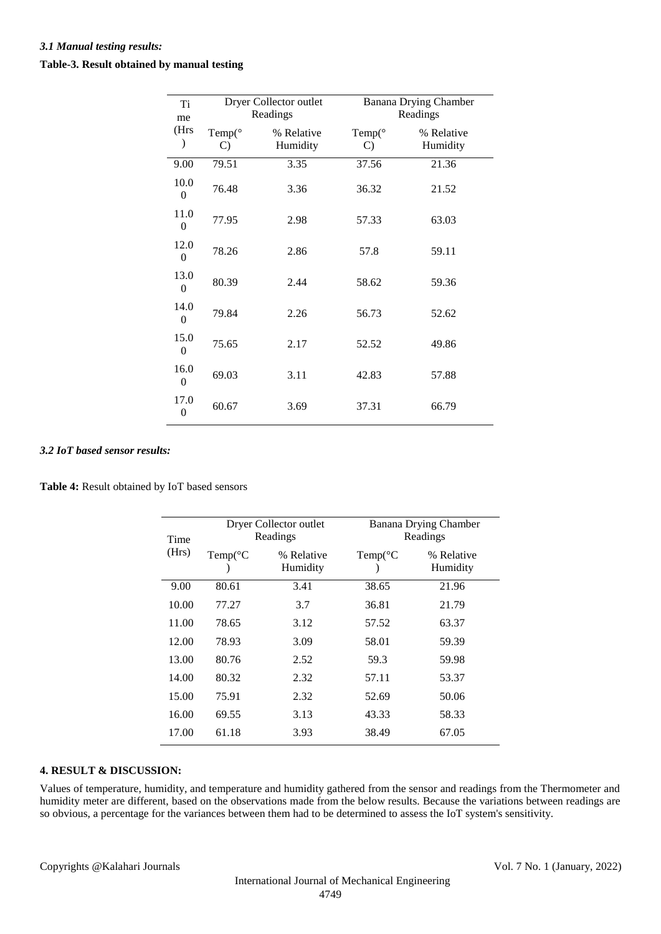| Ti<br>me                 |                            | Dryer Collector outlet<br>Readings | <b>Banana Drying Chamber</b><br>Readings |                        |  |
|--------------------------|----------------------------|------------------------------------|------------------------------------------|------------------------|--|
| (Hrs<br>⟩                | Temp $(°$<br>$\mathcal{C}$ | % Relative<br>Humidity             | Temp $(°$<br>$\mathcal{C}$               | % Relative<br>Humidity |  |
| 9.00                     | 79.51                      | 3.35                               | 37.56                                    | 21.36                  |  |
| 10.0<br>$\boldsymbol{0}$ | 76.48                      | 3.36                               | 36.32                                    | 21.52                  |  |
| 11.0<br>$\theta$         | 77.95                      | 2.98                               | 57.33                                    | 63.03                  |  |
| 12.0<br>$\theta$         | 78.26                      | 2.86                               | 57.8                                     | 59.11                  |  |
| 13.0<br>$\theta$         | 80.39                      | 2.44                               | 58.62                                    | 59.36                  |  |
| 14.0<br>$\overline{0}$   | 79.84                      | 2.26                               | 56.73                                    | 52.62                  |  |
| 15.0<br>$\overline{0}$   | 75.65                      | 2.17                               | 52.52                                    | 49.86                  |  |
| 16.0<br>$\overline{0}$   | 69.03                      | 3.11                               | 42.83                                    | 57.88                  |  |
| 17.0<br>$\overline{0}$   | 60.67                      | 3.69                               | 37.31                                    | 66.79                  |  |

## *3.2 IoT based sensor results:*

**Table 4:** Result obtained by IoT based sensors

|               |                   | Dryer Collector outlet |                                   |                        |  |
|---------------|-------------------|------------------------|-----------------------------------|------------------------|--|
| Time<br>(Hrs) |                   | Readings               | Banana Drying Chamber<br>Readings |                        |  |
|               | $Temp(^{\circ}C)$ | % Relative<br>Humidity | $Temp(^{\circ}C)$                 | % Relative<br>Humidity |  |
| 9.00          | 80.61             | 3.41                   | 38.65                             | 21.96                  |  |
| 10.00         | 77.27             | 3.7                    | 36.81                             | 21.79                  |  |
| 11.00         | 78.65             | 3.12                   | 57.52                             | 63.37                  |  |
| 12.00         | 78.93             | 3.09                   | 58.01                             | 59.39                  |  |
| 13.00         | 80.76             | 2.52                   | 59.3                              | 59.98                  |  |
| 14.00         | 80.32             | 2.32                   | 57.11                             | 53.37                  |  |
| 15.00         | 75.91             | 2.32                   | 52.69                             | 50.06                  |  |
| 16.00         | 69.55             | 3.13                   | 43.33                             | 58.33                  |  |
| 17.00         | 61.18             | 3.93                   | 38.49                             | 67.05                  |  |

# **4. RESULT & DISCUSSION:**

Values of temperature, humidity, and temperature and humidity gathered from the sensor and readings from the Thermometer and humidity meter are different, based on the observations made from the below results. Because the variations between readings are so obvious, a percentage for the variances between them had to be determined to assess the IoT system's sensitivity.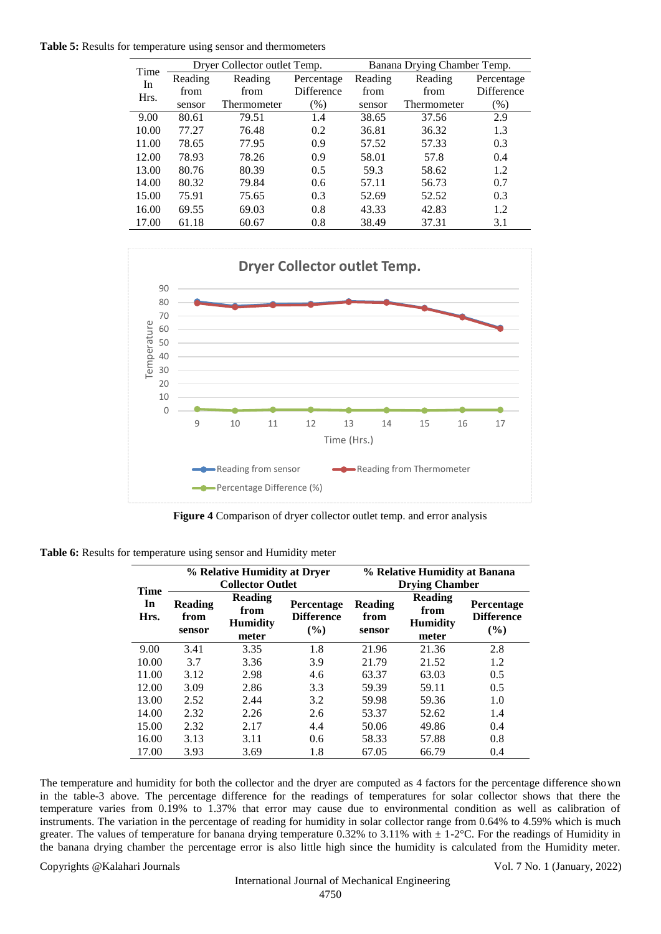**Table 5:** Results for temperature using sensor and thermometers

| Reading<br>Reading<br>Reading<br>Reading<br>Percentage<br>In<br>Difference<br>from<br>from<br>from<br>from<br>Hrs.<br>$(\%)$<br>(% )<br>Thermometer<br>Thermometer<br>sensor<br>sensor<br>2.9<br>9.00<br>79.51<br>1.4<br>38.65<br>37.56<br>80.61<br>10.00<br>77.27<br>36.32<br>76.48<br>0.2<br>36.81<br>1.3<br>11.00<br>78.65<br>77.95<br>57.52<br>57.33<br>0.9<br>0.3<br>12.00<br>78.93<br>78.26<br>58.01<br>57.8<br>0.9<br>0.4<br>13.00<br>80.39<br>59.3<br>58.62<br>80.76<br>0.5<br>1.2 | Time  |       | Dryer Collector outlet Temp. |     | Banana Drying Chamber Temp. |       |            |  |
|--------------------------------------------------------------------------------------------------------------------------------------------------------------------------------------------------------------------------------------------------------------------------------------------------------------------------------------------------------------------------------------------------------------------------------------------------------------------------------------------|-------|-------|------------------------------|-----|-----------------------------|-------|------------|--|
|                                                                                                                                                                                                                                                                                                                                                                                                                                                                                            |       |       |                              |     |                             |       | Percentage |  |
|                                                                                                                                                                                                                                                                                                                                                                                                                                                                                            |       |       |                              |     |                             |       | Difference |  |
|                                                                                                                                                                                                                                                                                                                                                                                                                                                                                            |       |       |                              |     |                             |       |            |  |
|                                                                                                                                                                                                                                                                                                                                                                                                                                                                                            |       |       |                              |     |                             |       |            |  |
|                                                                                                                                                                                                                                                                                                                                                                                                                                                                                            |       |       |                              |     |                             |       |            |  |
|                                                                                                                                                                                                                                                                                                                                                                                                                                                                                            |       |       |                              |     |                             |       |            |  |
|                                                                                                                                                                                                                                                                                                                                                                                                                                                                                            |       |       |                              |     |                             |       |            |  |
|                                                                                                                                                                                                                                                                                                                                                                                                                                                                                            |       |       |                              |     |                             |       |            |  |
|                                                                                                                                                                                                                                                                                                                                                                                                                                                                                            | 14.00 | 80.32 | 79.84                        | 0.6 | 57.11                       | 56.73 | 0.7        |  |
| 15.00<br>75.91<br>52.52<br>75.65<br>0.3<br>52.69<br>0.3                                                                                                                                                                                                                                                                                                                                                                                                                                    |       |       |                              |     |                             |       |            |  |
| 16.00<br>43.33<br>69.55<br>69.03<br>0.8<br>42.83<br>1.2                                                                                                                                                                                                                                                                                                                                                                                                                                    |       |       |                              |     |                             |       |            |  |
| 17.00<br>61.18<br>0.8<br>38.49<br>37.31<br>3.1<br>60.67                                                                                                                                                                                                                                                                                                                                                                                                                                    |       |       |                              |     |                             |       |            |  |



**Figure 4** Comparison of dryer collector outlet temp. and error analysis

**Table 6:** Results for temperature using sensor and Humidity meter

|                           |                                  | % Relative Humidity at Dryer<br><b>Collector Outlet</b> |                                                  | % Relative Humidity at Banana<br><b>Drying Chamber</b> |                                                    |                                               |  |
|---------------------------|----------------------------------|---------------------------------------------------------|--------------------------------------------------|--------------------------------------------------------|----------------------------------------------------|-----------------------------------------------|--|
| <b>Time</b><br>In<br>Hrs. | <b>Reading</b><br>from<br>sensor | <b>Reading</b><br>from<br><b>Humidity</b><br>meter      | <b>Percentage</b><br><b>Difference</b><br>$(\%)$ | <b>Reading</b><br>from<br>sensor                       | <b>Reading</b><br>from<br><b>Humidity</b><br>meter | <b>Percentage</b><br><b>Difference</b><br>(%) |  |
| 9.00                      | 3.41                             | 3.35                                                    | 1.8                                              | 21.96                                                  | 21.36                                              | 2.8                                           |  |
| 10.00                     | 3.7                              | 3.36                                                    | 3.9                                              | 21.79                                                  | 21.52                                              | 1.2                                           |  |
| 11.00                     | 3.12                             | 2.98                                                    | 4.6                                              | 63.37                                                  | 63.03                                              | 0.5                                           |  |
| 12.00                     | 3.09                             | 2.86                                                    | 3.3                                              | 59.39                                                  | 59.11                                              | 0.5                                           |  |
| 13.00                     | 2.52                             | 2.44                                                    | 3.2                                              | 59.98                                                  | 59.36                                              | 1.0                                           |  |
| 14.00                     | 2.32                             | 2.26                                                    | 2.6                                              | 53.37                                                  | 52.62                                              | 1.4                                           |  |
| 15.00                     | 2.32                             | 2.17                                                    | 4.4                                              | 50.06                                                  | 49.86                                              | 0.4                                           |  |
| 16.00                     | 3.13                             | 3.11                                                    | 0.6                                              | 58.33                                                  | 57.88                                              | 0.8                                           |  |
| 17.00                     | 3.93                             | 3.69                                                    | 1.8                                              | 67.05                                                  | 66.79                                              | 0.4                                           |  |

The temperature and humidity for both the collector and the dryer are computed as 4 factors for the percentage difference shown in the table-3 above. The percentage difference for the readings of temperatures for solar collector shows that there the temperature varies from 0.19% to 1.37% that error may cause due to environmental condition as well as calibration of instruments. The variation in the percentage of reading for humidity in solar collector range from 0.64% to 4.59% which is much greater. The values of temperature for banana drying temperature 0.32% to 3.11% with  $\pm$  1-2°C. For the readings of Humidity in the banana drying chamber the percentage error is also little high since the humidity is calculated from the Humidity meter.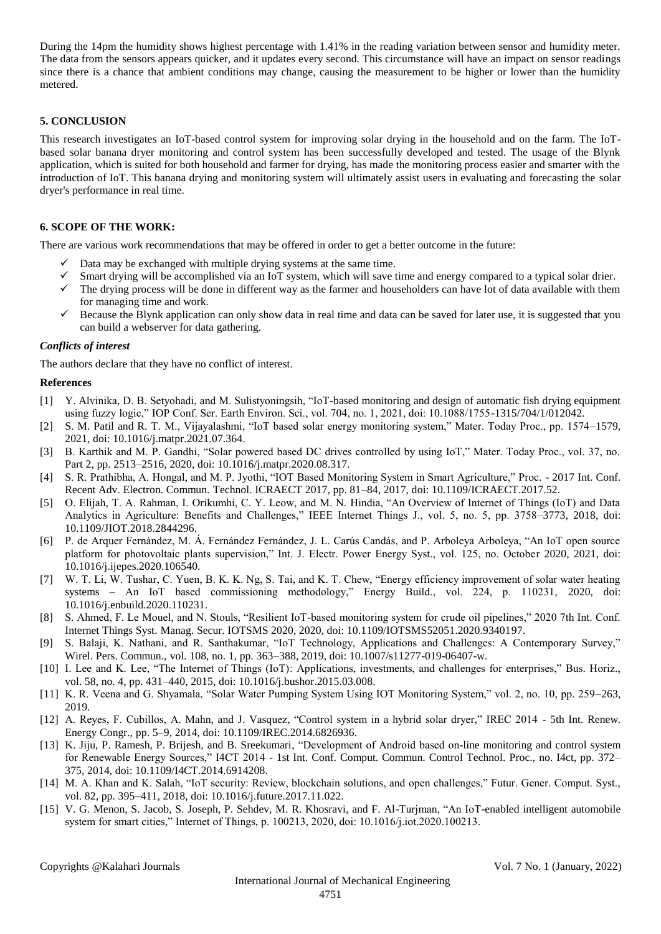During the 14pm the humidity shows highest percentage with 1.41% in the reading variation between sensor and humidity meter. The data from the sensors appears quicker, and it updates every second. This circumstance will have an impact on sensor readings since there is a chance that ambient conditions may change, causing the measurement to be higher or lower than the humidity metered.

## **5. CONCLUSION**

This research investigates an IoT-based control system for improving solar drying in the household and on the farm. The IoTbased solar banana dryer monitoring and control system has been successfully developed and tested. The usage of the Blynk application, which is suited for both household and farmer for drying, has made the monitoring process easier and smarter with the introduction of IoT. This banana drying and monitoring system will ultimately assist users in evaluating and forecasting the solar dryer's performance in real time.

#### **6. SCOPE OF THE WORK:**

There are various work recommendations that may be offered in order to get a better outcome in the future:

- $\checkmark$  Data may be exchanged with multiple drying systems at the same time.
- $\checkmark$  Smart drying will be accomplished via an IoT system, which will save time and energy compared to a typical solar drier.
- $\checkmark$  The drying process will be done in different way as the farmer and householders can have lot of data available with them for managing time and work.
- $\checkmark$  Because the Blynk application can only show data in real time and data can be saved for later use, it is suggested that you can build a webserver for data gathering.

#### *Conflicts of interest*

The authors declare that they have no conflict of interest.

#### **References**

- [1] Y. Alvinika, D. B. Setyohadi, and M. Sulistyoningsih, "IoT-based monitoring and design of automatic fish drying equipment using fuzzy logic," IOP Conf. Ser. Earth Environ. Sci., vol. 704, no. 1, 2021, doi: 10.1088/1755-1315/704/1/012042.
- [2] S. M. Patil and R. T. M., Vijayalashmi, "IoT based solar energy monitoring system," Mater. Today Proc., pp. 1574–1579, 2021, doi: 10.1016/j.matpr.2021.07.364.
- [3] B. Karthik and M. P. Gandhi, "Solar powered based DC drives controlled by using IoT," Mater. Today Proc., vol. 37, no. Part 2, pp. 2513–2516, 2020, doi: 10.1016/j.matpr.2020.08.317.
- [4] S. R. Prathibha, A. Hongal, and M. P. Jyothi, "IOT Based Monitoring System in Smart Agriculture," Proc. 2017 Int. Conf. Recent Adv. Electron. Commun. Technol. ICRAECT 2017, pp. 81–84, 2017, doi: 10.1109/ICRAECT.2017.52.
- [5] O. Elijah, T. A. Rahman, I. Orikumhi, C. Y. Leow, and M. N. Hindia, "An Overview of Internet of Things (IoT) and Data Analytics in Agriculture: Benefits and Challenges," IEEE Internet Things J., vol. 5, no. 5, pp. 3758–3773, 2018, doi: 10.1109/JIOT.2018.2844296.
- [6] P. de Arquer Fernández, M. Á. Fernández Fernández, J. L. Carús Candás, and P. Arboleya Arboleya, "An IoT open source platform for photovoltaic plants supervision," Int. J. Electr. Power Energy Syst., vol. 125, no. October 2020, 2021, doi: 10.1016/j.ijepes.2020.106540.
- [7] W. T. Li, W. Tushar, C. Yuen, B. K. K. Ng, S. Tai, and K. T. Chew, "Energy efficiency improvement of solar water heating systems – An IoT based commissioning methodology," Energy Build., vol. 224, p. 110231, 2020, doi: 10.1016/j.enbuild.2020.110231.
- [8] S. Ahmed, F. Le Mouel, and N. Stouls, "Resilient IoT-based monitoring system for crude oil pipelines," 2020 7th Int. Conf. Internet Things Syst. Manag. Secur. IOTSMS 2020, 2020, doi: 10.1109/IOTSMS52051.2020.9340197.
- [9] S. Balaji, K. Nathani, and R. Santhakumar, "IoT Technology, Applications and Challenges: A Contemporary Survey," Wirel. Pers. Commun., vol. 108, no. 1, pp. 363–388, 2019, doi: 10.1007/s11277-019-06407-w.
- [10] I. Lee and K. Lee, "The Internet of Things (IoT): Applications, investments, and challenges for enterprises," Bus. Horiz., vol. 58, no. 4, pp. 431–440, 2015, doi: 10.1016/j.bushor.2015.03.008.
- [11] K. R. Veena and G. Shyamala, "Solar Water Pumping System Using IOT Monitoring System," vol. 2, no. 10, pp. 259–263, 2019.
- [12] A. Reyes, F. Cubillos, A. Mahn, and J. Vasquez, "Control system in a hybrid solar dryer," IREC 2014 5th Int. Renew. Energy Congr., pp. 5–9, 2014, doi: 10.1109/IREC.2014.6826936.
- [13] K. Jiju, P. Ramesh, P. Brijesh, and B. Sreekumari, "Development of Android based on-line monitoring and control system for Renewable Energy Sources," I4CT 2014 - 1st Int. Conf. Comput. Commun. Control Technol. Proc., no. I4ct, pp. 372– 375, 2014, doi: 10.1109/I4CT.2014.6914208.
- [14] M. A. Khan and K. Salah, "IoT security: Review, blockchain solutions, and open challenges," Futur. Gener. Comput. Syst., vol. 82, pp. 395–411, 2018, doi: 10.1016/j.future.2017.11.022.
- [15] V. G. Menon, S. Jacob, S. Joseph, P. Sehdev, M. R. Khosravi, and F. Al-Turjman, "An IoT-enabled intelligent automobile system for smart cities," Internet of Things, p. 100213, 2020, doi: 10.1016/j.iot.2020.100213.